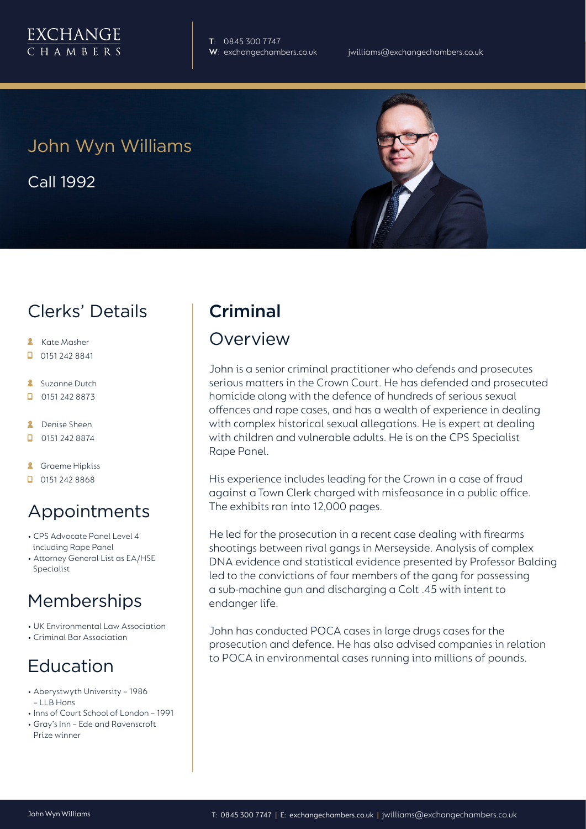

**T**: 0845 300 7747

# John Wyn Williams

Call 1992

# Clerks' Details

- **Kate Masher**
- $\Box$  0151 242 8841
- **Suzanne Dutch**
- $\Box$ 0151 242 8873
- **A** Denise Sheen
- $\Box$  0151 242 8874
- **A** Graeme Hipkiss
- $\Box$  0151 242 8868

## Appointments

- CPS Advocate Panel Level 4 including Rape Panel
- Attorney General List as EA/HSE Specialist

# Memberships

- UK Environmental Law Association
- Criminal Bar Association

# Education

- Aberystwyth University 1986 – LLB Hons
- Inns of Court School of London 1991
- Gray's Inn Ede and Ravenscroft Prize winner

# Criminal

### Overview

John is a senior criminal practitioner who defends and prosecutes serious matters in the Crown Court. He has defended and prosecuted homicide along with the defence of hundreds of serious sexual offences and rape cases, and has a wealth of experience in dealing with complex historical sexual allegations. He is expert at dealing with children and vulnerable adults. He is on the CPS Specialist Rape Panel.

His experience includes leading for the Crown in a case of fraud against a Town Clerk charged with misfeasance in a public office. The exhibits ran into 12,000 pages.

He led for the prosecution in a recent case dealing with firearms shootings between rival gangs in Merseyside. Analysis of complex DNA evidence and statistical evidence presented by Professor Balding led to the convictions of four members of the gang for possessing a sub-machine gun and discharging a Colt .45 with intent to endanger life.

John has conducted POCA cases in large drugs cases for the prosecution and defence. He has also advised companies in relation to POCA in environmental cases running into millions of pounds.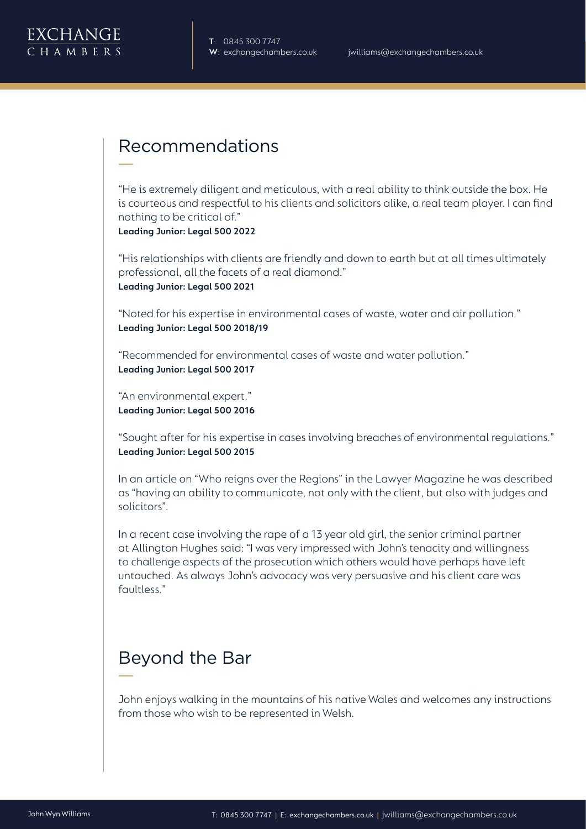

# Recommendations

"He is extremely diligent and meticulous, with a real ability to think outside the box. He is courteous and respectful to his clients and solicitors alike, a real team player. I can find nothing to be critical of."

**Leading Junior: Legal 500 2022**

"His relationships with clients are friendly and down to earth but at all times ultimately professional, all the facets of a real diamond." **Leading Junior: Legal 500 2021**

"Noted for his expertise in environmental cases of waste, water and air pollution." **Leading Junior: Legal 500 2018/19**

"Recommended for environmental cases of waste and water pollution." **Leading Junior: Legal 500 2017**

"An environmental expert." **Leading Junior: Legal 500 2016**

"Sought after for his expertise in cases involving breaches of environmental regulations." **Leading Junior: Legal 500 2015**

In an article on "Who reigns over the Regions" in the Lawyer Magazine he was described as "having an ability to communicate, not only with the client, but also with judges and solicitors".

In a recent case involving the rape of a 13 year old girl, the senior criminal partner at Allington Hughes said: "I was very impressed with John's tenacity and willingness to challenge aspects of the prosecution which others would have perhaps have left untouched. As always John's advocacy was very persuasive and his client care was faultless."

## Beyond the Bar

John enjoys walking in the mountains of his native Wales and welcomes any instructions from those who wish to be represented in Welsh.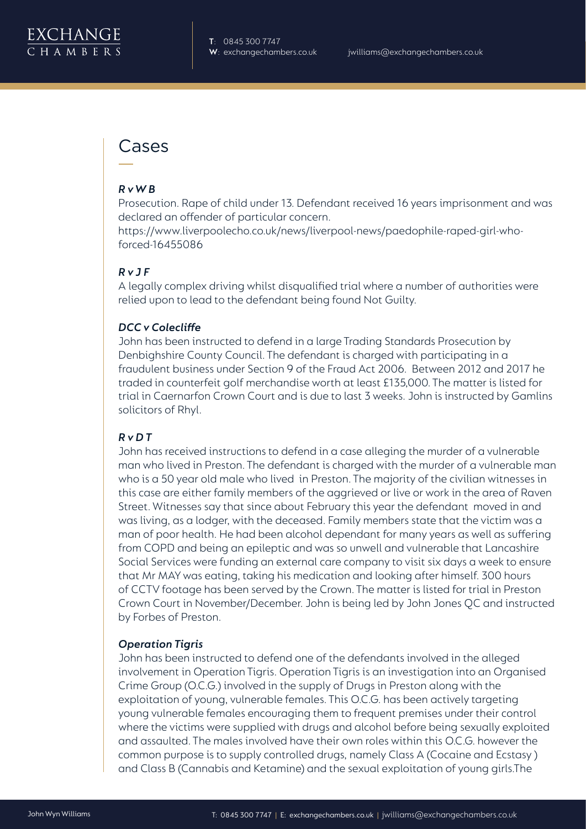

### Cases

#### *R v W B*

Prosecution. Rape of child under 13. Defendant received 16 years imprisonment and was declared an offender of particular concern.

https://www.liverpoolecho.co.uk/news/liverpool-news/paedophile-raped-girl-whoforced-16455086

#### *R v J F*

A legally complex driving whilst disqualified trial where a number of authorities were relied upon to lead to the defendant being found Not Guilty.

#### *DCC v Colecliffe*

John has been instructed to defend in a large Trading Standards Prosecution by Denbighshire County Council. The defendant is charged with participating in a fraudulent business under Section 9 of the Fraud Act 2006. Between 2012 and 2017 he traded in counterfeit golf merchandise worth at least £135,000. The matter is listed for trial in Caernarfon Crown Court and is due to last 3 weeks. John is instructed by Gamlins solicitors of Rhyl.

#### *R v D T*

John has received instructions to defend in a case alleging the murder of a vulnerable man who lived in Preston. The defendant is charged with the murder of a vulnerable man who is a 50 year old male who lived in Preston. The majority of the civilian witnesses in this case are either family members of the aggrieved or live or work in the area of Raven Street. Witnesses say that since about February this year the defendant moved in and was living, as a lodger, with the deceased. Family members state that the victim was a man of poor health. He had been alcohol dependant for many years as well as suffering from COPD and being an epileptic and was so unwell and vulnerable that Lancashire Social Services were funding an external care company to visit six days a week to ensure that Mr MAY was eating, taking his medication and looking after himself. 300 hours of CCTV footage has been served by the Crown. The matter is listed for trial in Preston Crown Court in November/December. John is being led by John Jones QC and instructed by Forbes of Preston.

#### *Operation Tigris*

John has been instructed to defend one of the defendants involved in the alleged involvement in Operation Tigris. Operation Tigris is an investigation into an Organised Crime Group (O.C.G.) involved in the supply of Drugs in Preston along with the exploitation of young, vulnerable females. This O.C.G. has been actively targeting young vulnerable females encouraging them to frequent premises under their control where the victims were supplied with drugs and alcohol before being sexually exploited and assaulted. The males involved have their own roles within this O.C.G. however the common purpose is to supply controlled drugs, namely Class A (Cocaine and Ecstasy ) and Class B (Cannabis and Ketamine) and the sexual exploitation of young girls.The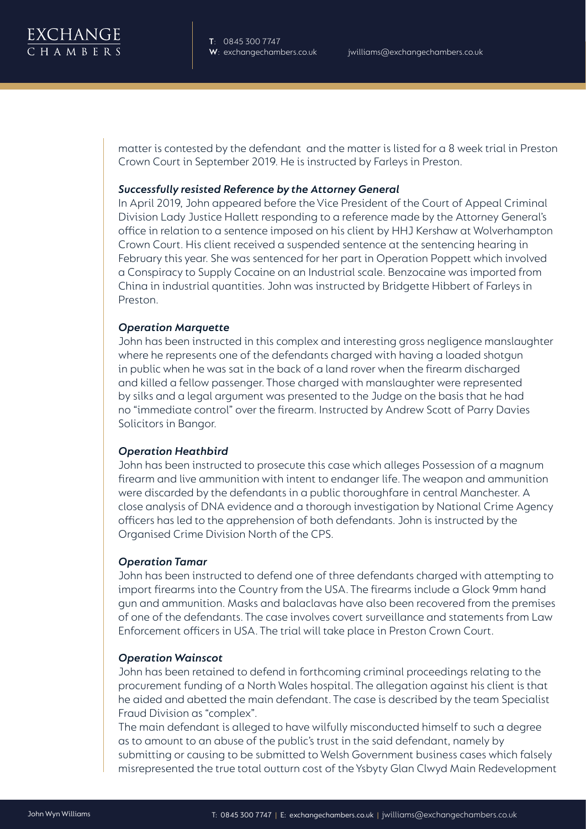matter is contested by the defendant and the matter is listed for a 8 week trial in Preston Crown Court in September 2019. He is instructed by Farleys in Preston.

#### *Successfully resisted Reference by the Attorney General*

In April 2019, John appeared before the Vice President of the Court of Appeal Criminal Division Lady Justice Hallett responding to a reference made by the Attorney General's office in relation to a sentence imposed on his client by HHJ Kershaw at Wolverhampton Crown Court. His client received a suspended sentence at the sentencing hearing in February this year. She was sentenced for her part in Operation Poppett which involved a Conspiracy to Supply Cocaine on an Industrial scale. Benzocaine was imported from China in industrial quantities. John was instructed by Bridgette Hibbert of Farleys in Preston.

#### *Operation Marquette*

John has been instructed in this complex and interesting gross negligence manslaughter where he represents one of the defendants charged with having a loaded shotgun in public when he was sat in the back of a land rover when the firearm discharged and killed a fellow passenger. Those charged with manslaughter were represented by silks and a legal argument was presented to the Judge on the basis that he had no "immediate control" over the firearm. Instructed by Andrew Scott of Parry Davies Solicitors in Bangor.

#### *Operation Heathbird*

John has been instructed to prosecute this case which alleges Possession of a magnum firearm and live ammunition with intent to endanger life. The weapon and ammunition were discarded by the defendants in a public thoroughfare in central Manchester. A close analysis of DNA evidence and a thorough investigation by National Crime Agency officers has led to the apprehension of both defendants. John is instructed by the Organised Crime Division North of the CPS.

#### *Operation Tamar*

John has been instructed to defend one of three defendants charged with attempting to import firearms into the Country from the USA. The firearms include a Glock 9mm hand gun and ammunition. Masks and balaclavas have also been recovered from the premises of one of the defendants. The case involves covert surveillance and statements from Law Enforcement officers in USA. The trial will take place in Preston Crown Court.

#### *Operation Wainscot*

John has been retained to defend in forthcoming criminal proceedings relating to the procurement funding of a North Wales hospital. The allegation against his client is that he aided and abetted the main defendant. The case is described by the team Specialist Fraud Division as "complex".

The main defendant is alleged to have wilfully misconducted himself to such a degree as to amount to an abuse of the public's trust in the said defendant, namely by submitting or causing to be submitted to Welsh Government business cases which falsely misrepresented the true total outturn cost of the Ysbyty Glan Clwyd Main Redevelopment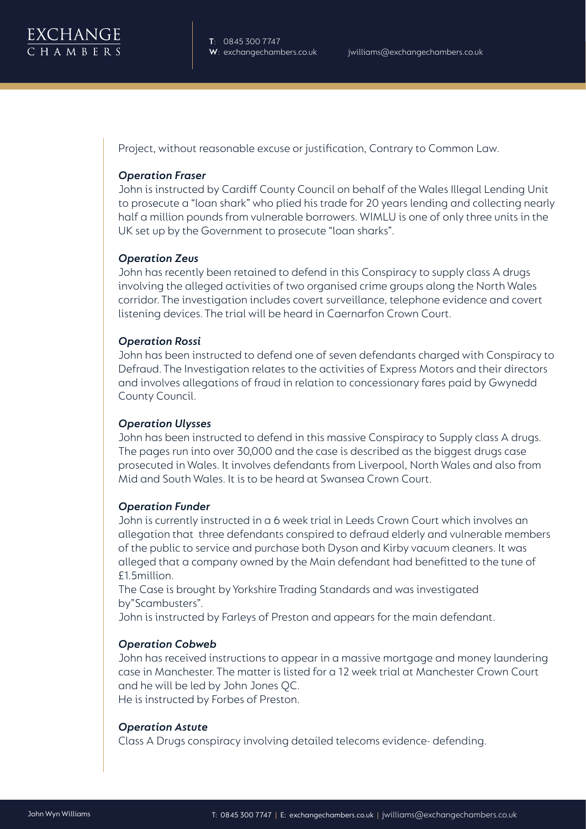

Project, without reasonable excuse or justification, Contrary to Common Law.

#### *Operation Fraser*

John is instructed by Cardiff County Council on behalf of the Wales Illegal Lending Unit to prosecute a "loan shark" who plied his trade for 20 years lending and collecting nearly half a million pounds from vulnerable borrowers. WIMLU is one of only three units in the UK set up by the Government to prosecute "loan sharks".

#### *Operation Zeus*

John has recently been retained to defend in this Conspiracy to supply class A drugs involving the alleged activities of two organised crime groups along the North Wales corridor. The investigation includes covert surveillance, telephone evidence and covert listening devices. The trial will be heard in Caernarfon Crown Court.

#### *Operation Rossi*

John has been instructed to defend one of seven defendants charged with Conspiracy to Defraud. The Investigation relates to the activities of Express Motors and their directors and involves allegations of fraud in relation to concessionary fares paid by Gwynedd County Council.

#### *Operation Ulysses*

John has been instructed to defend in this massive Conspiracy to Supply class A drugs. The pages run into over 30,000 and the case is described as the biggest drugs case prosecuted in Wales. It involves defendants from Liverpool, North Wales and also from Mid and South Wales. It is to be heard at Swansea Crown Court.

#### *Operation Funder*

John is currently instructed in a 6 week trial in Leeds Crown Court which involves an allegation that three defendants conspired to defraud elderly and vulnerable members of the public to service and purchase both Dyson and Kirby vacuum cleaners. It was alleged that a company owned by the Main defendant had benefitted to the tune of £1.5million.

The Case is brought by Yorkshire Trading Standards and was investigated by"Scambusters".

John is instructed by Farleys of Preston and appears for the main defendant.

#### *Operation Cobweb*

John has received instructions to appear in a massive mortgage and money laundering case in Manchester. The matter is listed for a 12 week trial at Manchester Crown Court and he will be led by John Jones QC. He is instructed by Forbes of Preston.

#### *Operation Astute*

Class A Drugs conspiracy involving detailed telecoms evidence- defending.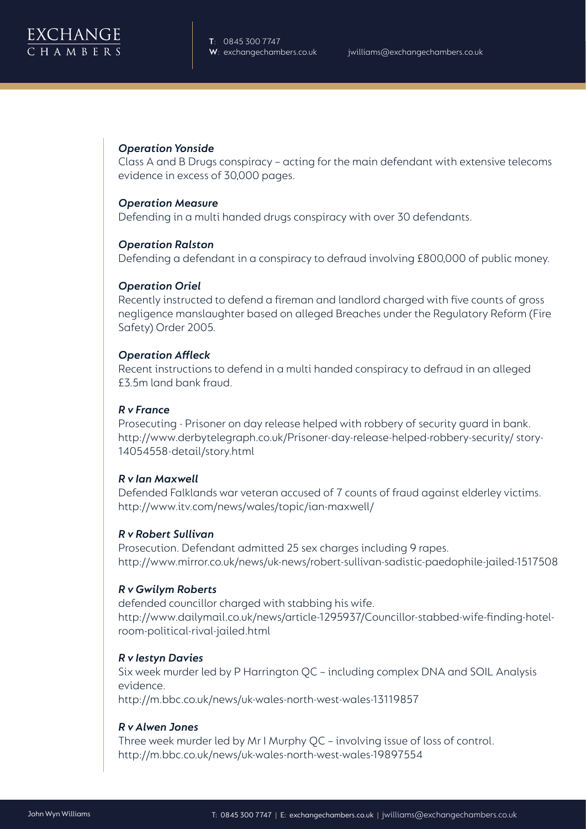

#### *Operation Yonside*

Class A and B Drugs conspiracy – acting for the main defendant with extensive telecoms evidence in excess of 30,000 pages.

#### *Operation Measure*

Defending in a multi handed drugs conspiracy with over 30 defendants.

#### *Operation Ralston*

Defending a defendant in a conspiracy to defraud involving £800,000 of public money.

#### *Operation Oriel*

Recently instructed to defend a fireman and landlord charged with five counts of gross negligence manslaughter based on alleged Breaches under the Regulatory Reform (Fire Safety) Order 2005.

#### *Operation Affleck*

Recent instructions to defend in a multi handed conspiracy to defraud in an alleged £3.5m land bank fraud.

#### *R v France*

Prosecuting - Prisoner on day release helped with robbery of security guard in bank. http://www.derbytelegraph.co.uk/Prisoner-day-release-helped-robbery-security/ story-14054558-detail/story.html

#### *R v Ian Maxwell*

Defended Falklands war veteran accused of 7 counts of fraud against elderley victims. http://www.itv.com/news/wales/topic/ian-maxwell/

#### *R v Robert Sullivan*

Prosecution. Defendant admitted 25 sex charges including 9 rapes. http://www.mirror.co.uk/news/uk-news/robert-sullivan-sadistic-paedophile-jailed-1517508

#### *R v Gwilym Roberts*

defended councillor charged with stabbing his wife. http://www.dailymail.co.uk/news/article-1295937/Councillor-stabbed-wife-finding-hotelroom-political-rival-jailed.html

#### *R v Iestyn Davies*

Six week murder led by P Harrington QC – including complex DNA and SOIL Analysis evidence. http://m.bbc.co.uk/news/uk-wales-north-west-wales-13119857

#### *R v Alwen Jones*

Three week murder led by Mr I Murphy QC – involving issue of loss of control. http://m.bbc.co.uk/news/uk-wales-north-west-wales-19897554